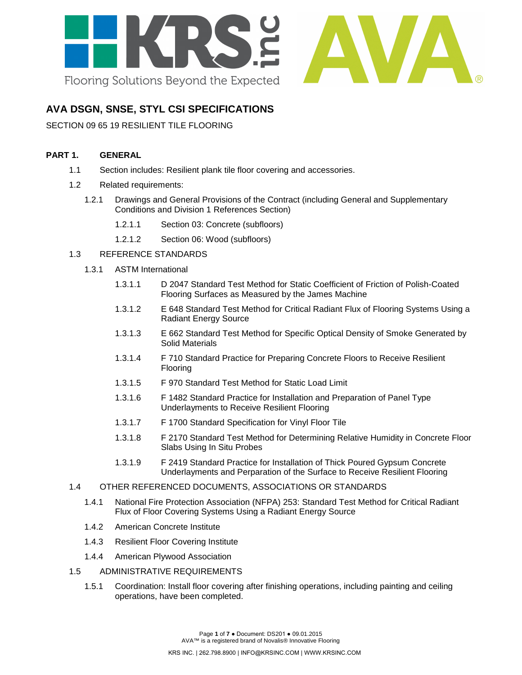

# **AVA DSGN, SNSE, STYL CSI SPECIFICATIONS**

SECTION 09 65 19 RESILIENT TILE FLOORING

# **PART 1. GENERAL**

- 1.1 Section includes: Resilient plank tile floor covering and accessories.
- 1.2 Related requirements:
	- 1.2.1 Drawings and General Provisions of the Contract (including General and Supplementary Conditions and Division 1 References Section)
		- 1.2.1.1 Section 03: Concrete (subfloors)
		- 1.2.1.2 Section 06: Wood (subfloors)

# 1.3 REFERENCE STANDARDS

- 1.3.1 ASTM International
	- 1.3.1.1 D 2047 Standard Test Method for Static Coefficient of Friction of Polish-Coated Flooring Surfaces as Measured by the James Machine
	- 1.3.1.2 E 648 Standard Test Method for Critical Radiant Flux of Flooring Systems Using a Radiant Energy Source
	- 1.3.1.3 E 662 Standard Test Method for Specific Optical Density of Smoke Generated by Solid Materials
	- 1.3.1.4 F 710 Standard Practice for Preparing Concrete Floors to Receive Resilient Flooring
	- 1.3.1.5 F 970 Standard Test Method for Static Load Limit
	- 1.3.1.6 F 1482 Standard Practice for Installation and Preparation of Panel Type Underlayments to Receive Resilient Flooring
	- 1.3.1.7 F 1700 Standard Specification for Vinyl Floor Tile
	- 1.3.1.8 F 2170 Standard Test Method for Determining Relative Humidity in Concrete Floor Slabs Using In Situ Probes
	- 1.3.1.9 F 2419 Standard Practice for Installation of Thick Poured Gypsum Concrete Underlayments and Perparation of the Surface to Receive Resilient Flooring

#### 1.4 OTHER REFERENCED DOCUMENTS, ASSOCIATIONS OR STANDARDS

- 1.4.1 National Fire Protection Association (NFPA) 253: Standard Test Method for Critical Radiant Flux of Floor Covering Systems Using a Radiant Energy Source
- 1.4.2 American Concrete Institute
- 1.4.3 Resilient Floor Covering Institute
- 1.4.4 American Plywood Association
- 1.5 ADMINISTRATIVE REQUIREMENTS
	- 1.5.1 Coordination: Install floor covering after finishing operations, including painting and ceiling operations, have been completed.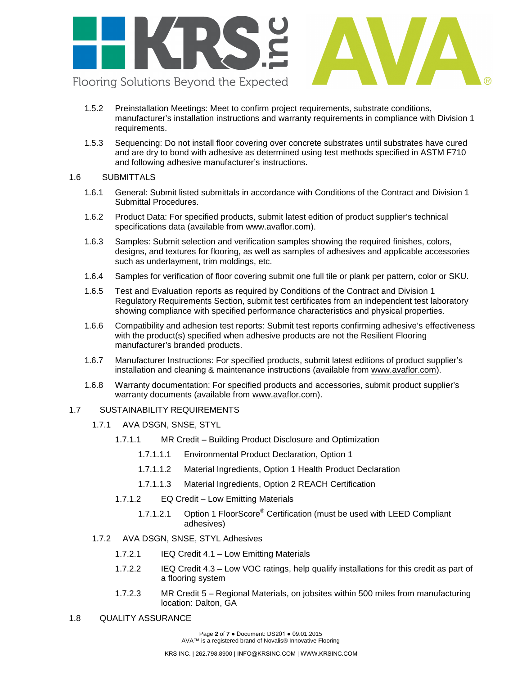

- 1.5.2 Preinstallation Meetings: Meet to confirm project requirements, substrate conditions, manufacturer's installation instructions and warranty requirements in compliance with Division 1 requirements.
- 1.5.3 Sequencing: Do not install floor covering over concrete substrates until substrates have cured and are dry to bond with adhesive as determined using test methods specified in ASTM F710 and following adhesive manufacturer's instructions.

#### 1.6 SUBMITTALS

- 1.6.1 General: Submit listed submittals in accordance with Conditions of the Contract and Division 1 Submittal Procedures.
- 1.6.2 Product Data: For specified products, submit latest edition of product supplier's technical specifications data (available from [www.avaflor.com\)](http://www.matsinc.com/).
- 1.6.3 Samples: Submit selection and verification samples showing the required finishes, colors, designs, and textures for flooring, as well as samples of adhesives and applicable accessories such as underlayment, trim moldings, etc.
- 1.6.4 Samples for verification of floor covering submit one full tile or plank per pattern, color or SKU.
- 1.6.5 Test and Evaluation reports as required by Conditions of the Contract and Division 1 Regulatory Requirements Section, submit test certificates from an independent test laboratory showing compliance with specified performance characteristics and physical properties.
- 1.6.6 Compatibility and adhesion test reports: Submit test reports confirming adhesive's effectiveness with the product(s) specified when adhesive products are not the Resilient Flooring manufacturer's branded products.
- 1.6.7 Manufacturer Instructions: For specified products, submit latest editions of product supplier's installation and cleaning & maintenance instructions (available from [www.avaflor.com\)](http://www.avaflor.com/).
- 1.6.8 Warranty documentation: For specified products and accessories, submit product supplier's warranty documents (available from [www.avaflor.com\)](http://www.avaflor.com/).

#### 1.7 SUSTAINABILITY REQUIREMENTS

- 1.7.1 AVA DSGN, SNSE, STYL
	- 1.7.1.1 MR Credit Building Product Disclosure and Optimization
		- 1.7.1.1.1 Environmental Product Declaration, Option 1
		- 1.7.1.1.2 Material Ingredients, Option 1 Health Product Declaration
		- 1.7.1.1.3 Material Ingredients, Option 2 REACH Certification
	- 1.7.1.2 EQ Credit Low Emitting Materials
		- 1.7.1.2.1 Option 1 FloorScore<sup>®</sup> Certification (must be used with LEED Compliant adhesives)
- 1.7.2 AVA DSGN, SNSE, STYL Adhesives
	- 1.7.2.1 IEQ Credit 4.1 Low Emitting Materials
	- 1.7.2.2 IEQ Credit 4.3 Low VOC ratings, help qualify installations for this credit as part of a flooring system
	- 1.7.2.3 MR Credit 5 Regional Materials, on jobsites within 500 miles from manufacturing location: Dalton, GA

# 1.8 QUALITY ASSURANCE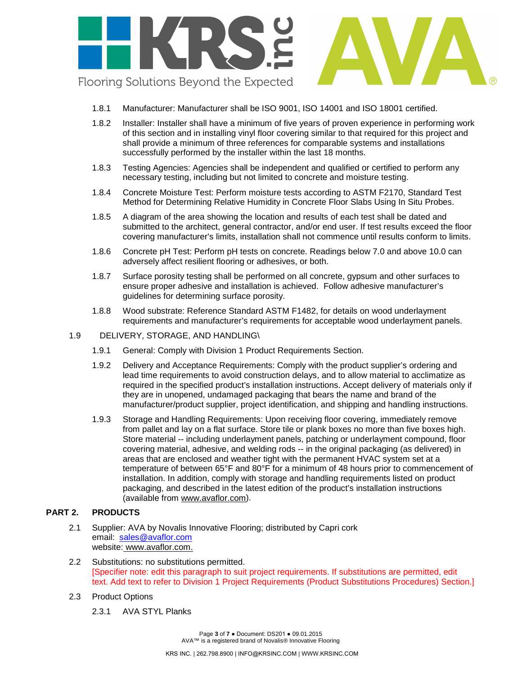

- 1.8.1 Manufacturer: Manufacturer shall be ISO 9001, ISO 14001 and ISO 18001 certified.
- 1.8.2 Installer: Installer shall have a minimum of five years of proven experience in performing work of this section and in installing vinyl floor covering similar to that required for this project and shall provide a minimum of three references for comparable systems and installations successfully performed by the installer within the last 18 months.
- 1.8.3 Testing Agencies: Agencies shall be independent and qualified or certified to perform any necessary testing, including but not limited to concrete and moisture testing.
- 1.8.4 Concrete Moisture Test: Perform moisture tests according to ASTM F2170, Standard Test Method for Determining Relative Humidity in Concrete Floor Slabs Using In Situ Probes.
- 1.8.5 A diagram of the area showing the location and results of each test shall be dated and submitted to the architect, general contractor, and/or end user. If test results exceed the floor covering manufacturer's limits, installation shall not commence until results conform to limits.
- 1.8.6 Concrete pH Test: Perform pH tests on concrete. Readings below 7.0 and above 10.0 can adversely affect resilient flooring or adhesives, or both.
- 1.8.7 Surface porosity testing shall be performed on all concrete, gypsum and other surfaces to ensure proper adhesive and installation is achieved. Follow adhesive manufacturer's guidelines for determining surface porosity.
- 1.8.8 Wood substrate: Reference Standard ASTM F1482, for details on wood underlayment requirements and manufacturer's requirements for acceptable wood underlayment panels.
- 1.9 DELIVERY, STORAGE, AND HANDLING\
	- 1.9.1 General: Comply with Division 1 Product Requirements Section.
	- 1.9.2 Delivery and Acceptance Requirements: Comply with the product supplier's ordering and lead time requirements to avoid construction delays, and to allow material to acclimatize as required in the specified product's installation instructions. Accept delivery of materials only if they are in unopened, undamaged packaging that bears the name and brand of the manufacturer/product supplier, project identification, and shipping and handling instructions.
	- 1.9.3 Storage and Handling Requirements: Upon receiving floor covering, immediately remove from pallet and lay on a flat surface. Store tile or plank boxes no more than five boxes high. Store material -- including underlayment panels, patching or underlayment compound, floor covering material, adhesive, and welding rods -- in the original packaging (as delivered) in areas that are enclosed and weather tight with the permanent HVAC system set at a temperature of between 65°F and 80°F for a minimum of 48 hours prior to commencement of installation. In addition, comply with storage and handling requirements listed on product packaging, and described in the latest edition of the product's installation instructions (available from [www.avaflor.com\)](http://www.avaflor.com/).

#### **PART 2. PRODUCTS**

- 2.1 Supplier: AVA by Novalis Innovative Flooring; distributed by Capri cork email: [sales@avaflor.com](mailto:sales@avaflor.com) website: [www.avaflor.com.](http://www.matsinc.com/)
- 2.2 Substitutions: no substitutions permitted. [Specifier note: edit this paragraph to suit project requirements. If substitutions are permitted, edit text. Add text to refer to Division 1 Project Requirements (Product Substitutions Procedures) Section.]
- 2.3 Product Options
	- 2.3.1 AVA STYL Planks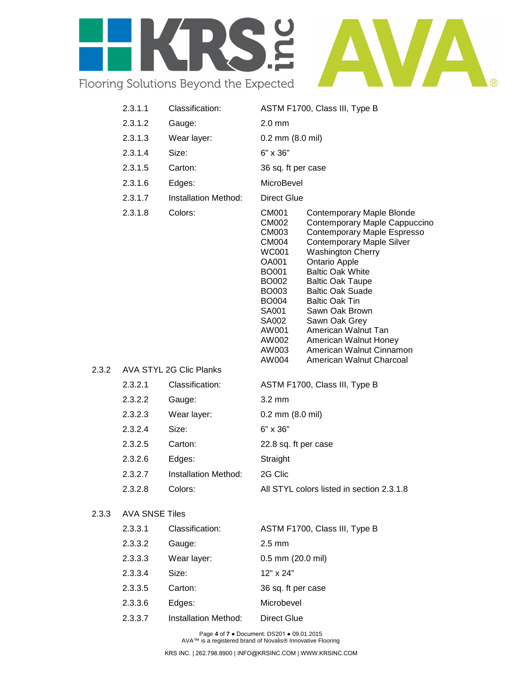

| 2.3.1.1               | Classification:                | ASTM F1700, Class III, Type B                                                                                                                                                                                                                                                                                                                                                                                                                                                                                                                                                                                      |  |  |
|-----------------------|--------------------------------|--------------------------------------------------------------------------------------------------------------------------------------------------------------------------------------------------------------------------------------------------------------------------------------------------------------------------------------------------------------------------------------------------------------------------------------------------------------------------------------------------------------------------------------------------------------------------------------------------------------------|--|--|
| 2.3.1.2               | Gauge:                         | $2.0 \text{ mm}$                                                                                                                                                                                                                                                                                                                                                                                                                                                                                                                                                                                                   |  |  |
| 2.3.1.3               | Wear layer:                    | $0.2$ mm $(8.0$ mil)                                                                                                                                                                                                                                                                                                                                                                                                                                                                                                                                                                                               |  |  |
| 2.3.1.4               | Size:                          | $6" \times 36"$                                                                                                                                                                                                                                                                                                                                                                                                                                                                                                                                                                                                    |  |  |
| 2.3.1.5               | Carton:                        | 36 sq. ft per case                                                                                                                                                                                                                                                                                                                                                                                                                                                                                                                                                                                                 |  |  |
| 2.3.1.6               | Edges:                         | MicroBevel                                                                                                                                                                                                                                                                                                                                                                                                                                                                                                                                                                                                         |  |  |
| 2.3.1.7               | Installation Method:           | <b>Direct Glue</b>                                                                                                                                                                                                                                                                                                                                                                                                                                                                                                                                                                                                 |  |  |
| 2.3.1.8               | Colors:                        | CM001<br>Contemporary Maple Blonde<br>Contemporary Maple Cappuccino<br>CM002<br>Contemporary Maple Espresso<br>CM003<br><b>Contemporary Maple Silver</b><br>CM004<br><b>Washington Cherry</b><br><b>WC001</b><br><b>Ontario Apple</b><br>OA001<br><b>Baltic Oak White</b><br><b>BO001</b><br><b>Baltic Oak Taupe</b><br>BO002<br><b>Baltic Oak Suade</b><br><b>BO003</b><br><b>Baltic Oak Tin</b><br><b>BO004</b><br>SA001<br>Sawn Oak Brown<br>Sawn Oak Grey<br>SA002<br>American Walnut Tan<br>AW001<br>AW002<br>American Walnut Honey<br>American Walnut Cinnamon<br>AW003<br>AW004<br>American Walnut Charcoal |  |  |
|                       | <b>AVA STYL 2G Clic Planks</b> |                                                                                                                                                                                                                                                                                                                                                                                                                                                                                                                                                                                                                    |  |  |
| 2.3.2.1               | Classification:                | ASTM F1700, Class III, Type B                                                                                                                                                                                                                                                                                                                                                                                                                                                                                                                                                                                      |  |  |
| 2.3.2.2               | Gauge:                         | $3.2 \text{ mm}$                                                                                                                                                                                                                                                                                                                                                                                                                                                                                                                                                                                                   |  |  |
| 2.3.2.3               | Wear layer:                    | $0.2$ mm $(8.0$ mil)                                                                                                                                                                                                                                                                                                                                                                                                                                                                                                                                                                                               |  |  |
| 2.3.2.4               | Size:                          | $6" \times 36"$                                                                                                                                                                                                                                                                                                                                                                                                                                                                                                                                                                                                    |  |  |
| 2.3.2.5               | Carton:                        | 22.8 sq. ft per case                                                                                                                                                                                                                                                                                                                                                                                                                                                                                                                                                                                               |  |  |
| 2.3.2.6               | Edges:                         | Straight                                                                                                                                                                                                                                                                                                                                                                                                                                                                                                                                                                                                           |  |  |
| 2.3.2.7               | Installation Method:           | 2G Clic                                                                                                                                                                                                                                                                                                                                                                                                                                                                                                                                                                                                            |  |  |
| 2.3.2.8               | Colors:                        | All STYL colors listed in section 2.3.1.8                                                                                                                                                                                                                                                                                                                                                                                                                                                                                                                                                                          |  |  |
| <b>AVA SNSE Tiles</b> |                                |                                                                                                                                                                                                                                                                                                                                                                                                                                                                                                                                                                                                                    |  |  |
| 2.3.3.1               | Classification:                | ASTM F1700, Class III, Type B                                                                                                                                                                                                                                                                                                                                                                                                                                                                                                                                                                                      |  |  |
| 2.3.3.2               | Gauge:                         | $2.5$ mm                                                                                                                                                                                                                                                                                                                                                                                                                                                                                                                                                                                                           |  |  |
| 2.3.3.3               | Wear layer:                    | 0.5 mm (20.0 mil)                                                                                                                                                                                                                                                                                                                                                                                                                                                                                                                                                                                                  |  |  |

2.3.3.4 Size: 12" x 24" 2.3.3.5 Carton: 36 sq. ft per case

 $2.3.2$ 

 $2.3.3$ 

2.3.3.6 Edges: Microbevel 2.3.3.7 Installation Method: Direct Glue

> Page **4** of **7** ● Document: DS201 ● 09.01.2015 AVA™ is a registered brand of Novalis® Innovative Flooring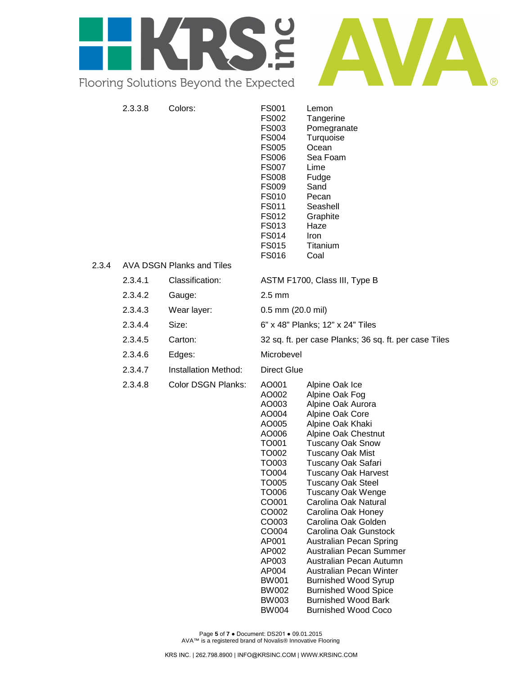

| 2.3.4 | 2.3.3.8 | Colors:<br><b>AVA DSGN Planks and Tiles</b> | <b>FS001</b><br>FS002<br>FS003<br><b>FS004</b><br><b>FS005</b><br><b>FS006</b><br><b>FS007</b><br><b>FS008</b><br><b>FS009</b><br><b>FS010</b><br>FS011<br>FS012<br>FS013<br><b>FS014</b><br><b>FS015</b><br><b>FS016</b>               | Lemon<br>Tangerine<br>Pomegranate<br>Turquoise<br>Ocean<br>Sea Foam<br>Lime<br>Fudge<br>Sand<br>Pecan<br>Seashell<br>Graphite<br>Haze<br>Iron<br>Titanium<br>Coal                                                                                                                                                                                                                                                                                                                                                                                                                           |  |
|-------|---------|---------------------------------------------|-----------------------------------------------------------------------------------------------------------------------------------------------------------------------------------------------------------------------------------------|---------------------------------------------------------------------------------------------------------------------------------------------------------------------------------------------------------------------------------------------------------------------------------------------------------------------------------------------------------------------------------------------------------------------------------------------------------------------------------------------------------------------------------------------------------------------------------------------|--|
|       | 2.3.4.1 | Classification:                             |                                                                                                                                                                                                                                         | ASTM F1700, Class III, Type B                                                                                                                                                                                                                                                                                                                                                                                                                                                                                                                                                               |  |
|       | 2.3.4.2 | Gauge:                                      | $2.5 \text{ mm}$                                                                                                                                                                                                                        |                                                                                                                                                                                                                                                                                                                                                                                                                                                                                                                                                                                             |  |
|       | 2.3.4.3 | Wear layer:                                 |                                                                                                                                                                                                                                         | $0.5$ mm $(20.0$ mil)                                                                                                                                                                                                                                                                                                                                                                                                                                                                                                                                                                       |  |
|       | 2.3.4.4 | Size:                                       | 6" x 48" Planks; 12" x 24" Tiles                                                                                                                                                                                                        |                                                                                                                                                                                                                                                                                                                                                                                                                                                                                                                                                                                             |  |
|       | 2.3.4.5 | Carton:                                     | 32 sq. ft. per case Planks; 36 sq. ft. per case Tiles                                                                                                                                                                                   |                                                                                                                                                                                                                                                                                                                                                                                                                                                                                                                                                                                             |  |
|       | 2.3.4.6 | Edges:                                      | Microbevel                                                                                                                                                                                                                              |                                                                                                                                                                                                                                                                                                                                                                                                                                                                                                                                                                                             |  |
|       | 2.3.4.7 | Installation Method:                        | <b>Direct Glue</b>                                                                                                                                                                                                                      |                                                                                                                                                                                                                                                                                                                                                                                                                                                                                                                                                                                             |  |
|       | 2.3.4.8 | Color DSGN Planks:                          | AO001<br>AO002<br>AO003<br>AO004<br>AO005<br>AO006<br>TO001<br>TO002<br>TO003<br>TO004<br><b>TO005</b><br>TO006<br>CO001<br>CO002<br>CO003<br>CO004<br>AP001<br>AP002<br>AP003<br>AP004<br><b>BW001</b><br><b>BW002</b><br><b>BW003</b> | Alpine Oak Ice<br>Alpine Oak Fog<br>Alpine Oak Aurora<br>Alpine Oak Core<br>Alpine Oak Khaki<br>Alpine Oak Chestnut<br><b>Tuscany Oak Snow</b><br><b>Tuscany Oak Mist</b><br>Tuscany Oak Safari<br><b>Tuscany Oak Harvest</b><br><b>Tuscany Oak Steel</b><br><b>Tuscany Oak Wenge</b><br>Carolina Oak Natural<br>Carolina Oak Honey<br>Carolina Oak Golden<br>Carolina Oak Gunstock<br>Australian Pecan Spring<br>Australian Pecan Summer<br>Australian Pecan Autumn<br>Australian Pecan Winter<br><b>Burnished Wood Syrup</b><br><b>Burnished Wood Spice</b><br><b>Burnished Wood Bark</b> |  |

Page **5** of **7** ● Document: DS201 ● 09.01.2015 AVA™ is a registered brand of Novalis® Innovative Flooring

BW004 Burnished Wood Coco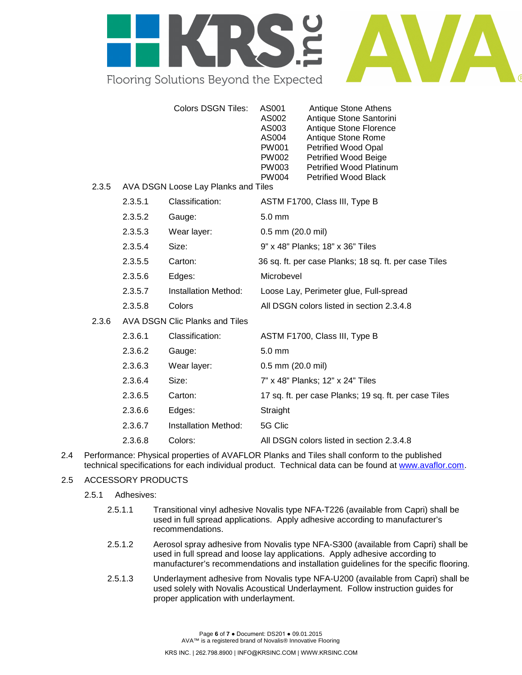

|       |                                     | <b>Colors DSGN Tiles:</b>      | AS001<br>AS002<br>AS003<br>AS004<br>PW001<br>PW002<br><b>PW003</b><br><b>PW004</b> | Antique Stone Athens<br>Antique Stone Santorini<br>Antique Stone Florence<br>Antique Stone Rome<br>Petrified Wood Opal<br>Petrified Wood Beige<br><b>Petrified Wood Platinum</b><br><b>Petrified Wood Black</b> |  |  |
|-------|-------------------------------------|--------------------------------|------------------------------------------------------------------------------------|-----------------------------------------------------------------------------------------------------------------------------------------------------------------------------------------------------------------|--|--|
| 2.3.5 | AVA DSGN Loose Lay Planks and Tiles |                                |                                                                                    |                                                                                                                                                                                                                 |  |  |
|       | 2.3.5.1                             | Classification:                | ASTM F1700, Class III, Type B                                                      |                                                                                                                                                                                                                 |  |  |
|       | 2.3.5.2                             | Gauge:                         | $5.0$ mm                                                                           |                                                                                                                                                                                                                 |  |  |
|       | 2.3.5.3                             | Wear layer:                    | $0.5$ mm $(20.0$ mil)                                                              |                                                                                                                                                                                                                 |  |  |
|       | 2.3.5.4                             | Size:                          | 9" x 48" Planks; 18" x 36" Tiles                                                   |                                                                                                                                                                                                                 |  |  |
|       | 2.3.5.5                             | Carton:                        | 36 sq. ft. per case Planks; 18 sq. ft. per case Tiles                              |                                                                                                                                                                                                                 |  |  |
|       | 2.3.5.6                             | Edges:                         | Microbevel                                                                         |                                                                                                                                                                                                                 |  |  |
|       | 2.3.5.7                             | Installation Method:           | Loose Lay, Perimeter glue, Full-spread                                             |                                                                                                                                                                                                                 |  |  |
|       | 2.3.5.8                             | Colors                         | All DSGN colors listed in section 2.3.4.8                                          |                                                                                                                                                                                                                 |  |  |
| 2.3.6 |                                     | AVA DSGN Clic Planks and Tiles |                                                                                    |                                                                                                                                                                                                                 |  |  |
|       | 2.3.6.1                             | Classification:                |                                                                                    | ASTM F1700, Class III, Type B                                                                                                                                                                                   |  |  |
|       | 2.3.6.2                             | Gauge:                         | $5.0 \text{ mm}$                                                                   |                                                                                                                                                                                                                 |  |  |
|       | 2.3.6.3                             | Wear layer:                    | $0.5$ mm $(20.0$ mil)                                                              |                                                                                                                                                                                                                 |  |  |
|       | 2.3.6.4                             | Size:                          | 7" x 48" Planks; 12" x 24" Tiles                                                   |                                                                                                                                                                                                                 |  |  |
|       | 2.3.6.5                             | Carton:                        | 17 sq. ft. per case Planks; 19 sq. ft. per case Tiles                              |                                                                                                                                                                                                                 |  |  |
|       | 2.3.6.6                             | Edges:                         | Straight                                                                           |                                                                                                                                                                                                                 |  |  |
|       | 2.3.6.7                             | Installation Method:           | 5G Clic                                                                            |                                                                                                                                                                                                                 |  |  |
|       | 2.3.6.8                             | Colors:                        | All DSGN colors listed in section 2.3.4.8                                          |                                                                                                                                                                                                                 |  |  |

2.4 Performance: Physical properties of AVAFLOR Planks and Tiles shall conform to the published technical specifications for each individual product. Technical data can be found at [www.avaflor.com.](http://www.avaflor.com/)

#### 2.5 ACCESSORY PRODUCTS

- 2.5.1 Adhesives:
	- 2.5.1.1 Transitional vinyl adhesive Novalis type NFA-T226 (available from Capri) shall be used in full spread applications. Apply adhesive according to manufacturer's recommendations.
	- 2.5.1.2 Aerosol spray adhesive from Novalis type NFA-S300 (available from Capri) shall be used in full spread and loose lay applications. Apply adhesive according to manufacturer's recommendations and installation guidelines for the specific flooring.
	- 2.5.1.3 Underlayment adhesive from Novalis type NFA-U200 (available from Capri) shall be used solely with Novalis Acoustical Underlayment. Follow instruction guides for proper application with underlayment.